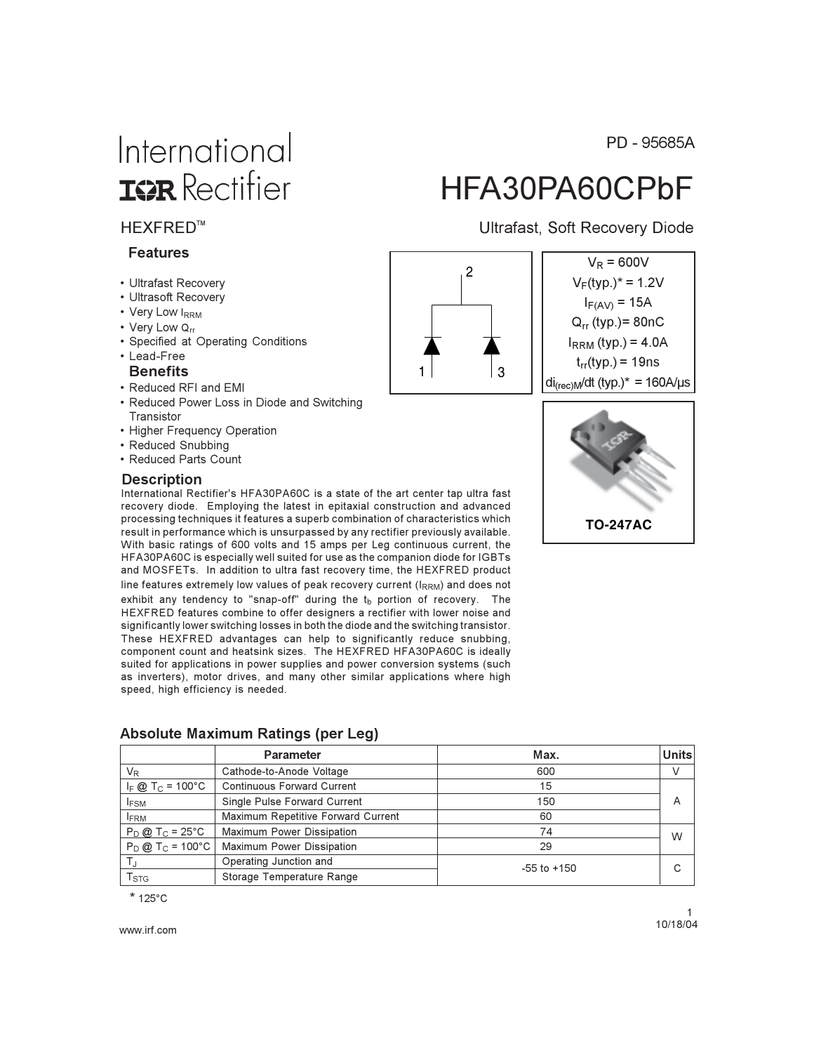# International **ISR** Rectifier

#### **HEXFRED™**

#### **Features**

- Ultrafast Recovery
- Ultrasoft Recovery
- Very Low IRRM
- Verv Low Qrr
- Specified at Operating Conditions
- · Lead-Free

#### **Benefits**

- Reduced RFI and EMI
- Reduced Power Loss in Diode and Switching Transistor
- Higher Frequency Operation
- Reduced Snubbing
- Reduced Parts Count

#### **Description**

International Rectifier's HFA30PA60C is a state of the art center tap ultra fast recovery diode. Employing the latest in epitaxial construction and advanced processing techniques it features a superb combination of characteristics which result in performance which is unsurpassed by any rectifier previously available. With basic ratings of 600 volts and 15 amps per Leg continuous current, the HFA30PA60C is especially well suited for use as the companion diode for IGBTs and MOSFETs. In addition to ultra fast recovery time, the HEXFRED product line features extremely low values of peak recovery current (IRRM) and does not exhibit any tendency to "snap-off" during the t<sub>b</sub> portion of recovery. The HEXFRED features combine to offer designers a rectifier with lower noise and significantly lower switching losses in both the diode and the switching transistor. These HEXFRED advantages can help to significantly reduce snubbing, component count and heatsink sizes. The HEXFRED HFA30PA60C is ideally suited for applications in power supplies and power conversion systems (such as inverters), motor drives, and many other similar applications where high speed, high efficiency is needed.

|                             | <b>Parameter</b>                   | Max.            | <b>Units</b> |
|-----------------------------|------------------------------------|-----------------|--------------|
| $V_{R}$                     | Cathode-to-Anode Voltage           | 600             |              |
| $I_F @ T_C = 100°C$         | <b>Continuous Forward Current</b>  | 15              |              |
| <b>IFSM</b>                 | Single Pulse Forward Current       | 150             | A            |
| <b>FRM</b>                  | Maximum Repetitive Forward Current | 60              |              |
| $P_D @ T_C = 25°C$          | Maximum Power Dissipation          | 74              | W            |
| $P_D @ T_C = 100°C$         | <b>Maximum Power Dissipation</b>   | 29              |              |
| ΤJ                          | Operating Junction and             | $-55$ to $+150$ |              |
| $\mathsf{T}_{\textsf{STG}}$ | Storage Temperature Range          |                 |              |

#### Absolute Maximum Ratings (per Leg)

 $*125^{\circ}$ C

www.irf.com

PD - 95685A

# HFA30PA60CPbF

**Ultrafast, Soft Recovery Diode** 

 $V_R = 600V$ 

 $V_F(typ.)^* = 1.2V$ 

 $I_{F(AV)} = 15A$ 

 $Q_{rr}$  (typ.)= 80nC

 $I_{RRM}$  (typ.) = 4.0A



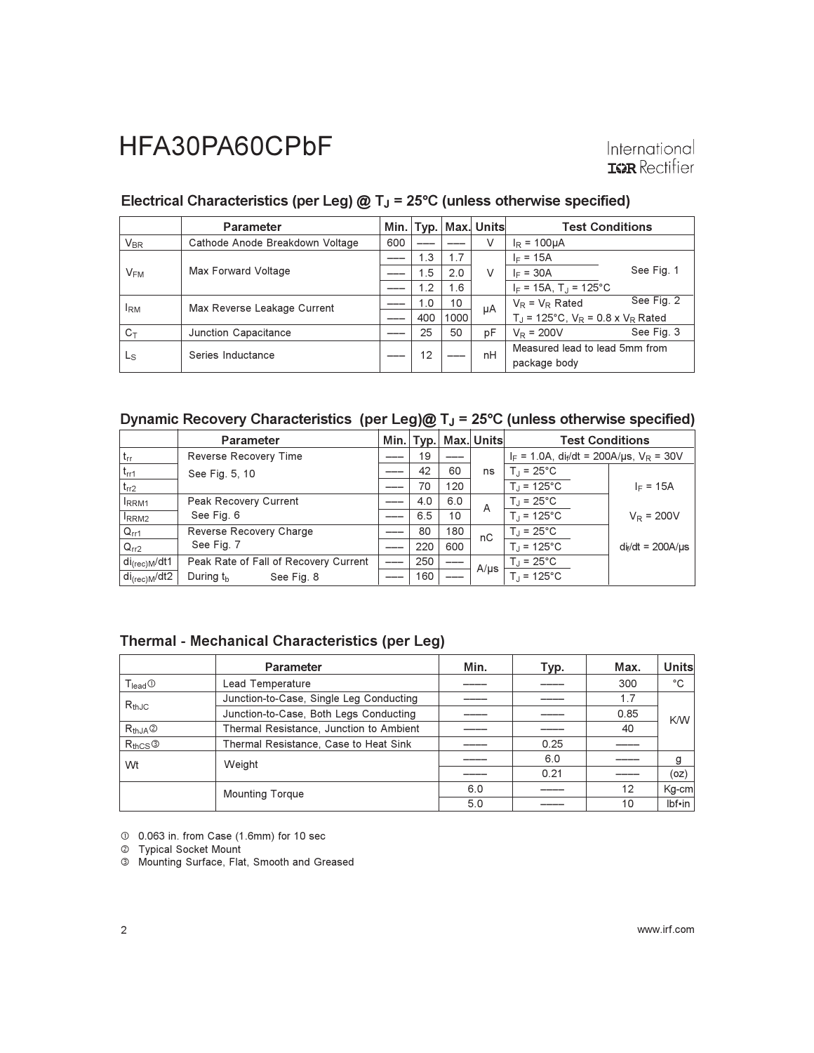#### Electrical Characteristics (per Leg)  $@T_J = 25°C$  (unless otherwise specified)

|                       | <b>Parameter</b>                | Min. | Typ. |      | Max. Units | <b>Test Conditions</b>                                     |  |
|-----------------------|---------------------------------|------|------|------|------------|------------------------------------------------------------|--|
| <b>V<sub>BR</sub></b> | Cathode Anode Breakdown Voltage | 600  |      |      | V          | $I_R = 100 \mu A$                                          |  |
| $V_{FM}$              | Max Forward Voltage             |      | 1.3  | 1.7  | V          | $I_F = 15A$                                                |  |
|                       |                                 |      | 1.5  | 2.0  |            | See Fig. 1<br>$I_F = 30A$                                  |  |
|                       |                                 |      | 1.2  | 1.6  |            | $I_F = 15A$ , T <sub>J</sub> = 125°C                       |  |
| <sup>I</sup> RM       | Max Reverse Leakage Current     |      | 1.0  | 10   | μA         | See Fig. 2<br>$V_R = V_R$ Rated                            |  |
|                       |                                 |      | 400  | 1000 |            | $T_{\rm J}$ = 125°C, $V_{\rm R}$ = 0.8 x $V_{\rm R}$ Rated |  |
| $C_{\top}$            | Junction Capacitance            |      | 25   | 50   | pF         | See Fig. 3<br>$V_R = 200V$                                 |  |
| Ls                    | Series Inductance               |      | 12   |      | nH         | Measured lead to lead 5mm from<br>package body             |  |

#### Dynamic Recovery Characteristics (per Leg)@  $T_J$  = 25°C (unless otherwise specified)

|                             | <b>Parameter</b>                      |     |     |     | Min.   Typ.   Max.   Units | <b>Test Conditions</b>                                    |                        |
|-----------------------------|---------------------------------------|-----|-----|-----|----------------------------|-----------------------------------------------------------|------------------------|
| $ t_{rr} $                  | Reverse Recovery Time                 |     | 19  |     |                            | $I_F = 1.0A$ , di <sub>f</sub> /dt = 200A/us, $V_R = 30V$ |                        |
| $t_{rr1}$                   | See Fig. 5, 10                        |     | 42  | 60  | ns                         | $T_{\rm d}$ = 25°C                                        |                        |
| $t_{rr2}$                   |                                       |     | 70  | 120 |                            | $T_{\rm d}$ = 125°C                                       | $I_F = 15A$            |
| <b>IRRM1</b>                | Peak Recovery Current                 |     | 4.0 | 6.0 | A                          | $T_{\rm d}$ = 25°C                                        |                        |
| RRM <sub>2</sub>            | See Fig. 6                            |     | 6.5 | 10  |                            | $T_{\rm d}$ = 125°C                                       | $V_R = 200V$           |
| $Q_{rr1}$                   | Reverse Recovery Charge               |     | 80  | 180 | nC                         | $T_{\text{J}}$ = 25°C                                     |                        |
| $Q_{rr2}$                   | See Fig. 7                            |     | 220 | 600 |                            | $T_{\rm J}$ = 125°C                                       | $di_f/dt = 200A/\mu s$ |
| ' di <sub>(rec)M</sub> /dt1 | Peak Rate of Fall of Recovery Current |     | 250 |     | $A/\mu s$                  | $T_J = 25^{\circ}C$                                       |                        |
| di <sub>(rec)M</sub> /dt2   | During $t_{\rm b}$<br>See Fig. 8      | ___ | 160 |     |                            | $T_{\text{J}}$ = 125°C                                    |                        |

#### Thermal - Mechanical Characteristics (per Leg)

|                                          | Parameter                               | Min. | Typ. | Max. | <b>Units</b> |  |  |  |
|------------------------------------------|-----------------------------------------|------|------|------|--------------|--|--|--|
| $T_{lead}$ <sup><math>\odot</math></sup> | Lead Temperature                        |      |      | 300  | °C           |  |  |  |
| $R_{thJC}$                               | Junction-to-Case, Single Leg Conducting |      |      | 1.7  |              |  |  |  |
|                                          | Junction-to-Case, Both Legs Conducting  |      |      | 0.85 | K/W          |  |  |  |
| $R_{thJA}$ <sup><math>\odot</math></sup> | Thermal Resistance, Junction to Ambient |      |      | 40   |              |  |  |  |
| $R_{thCS}$ <sup>3</sup>                  | Thermal Resistance, Case to Heat Sink   |      | 0.25 |      |              |  |  |  |
| Wt                                       | Weight                                  |      | 6.0  |      |              |  |  |  |
|                                          |                                         |      | 0.21 |      | (oz)         |  |  |  |
|                                          | <b>Mounting Torque</b>                  | 6.0  |      | 12   | Kg-cm        |  |  |  |
|                                          |                                         | 5.0  |      | 10   | lbf•in       |  |  |  |

10 0.063 in. from Case (1.6mm) for 10 sec

2 Typical Socket Mount<br>3 Mounting Surface, Flat, Smooth and Greased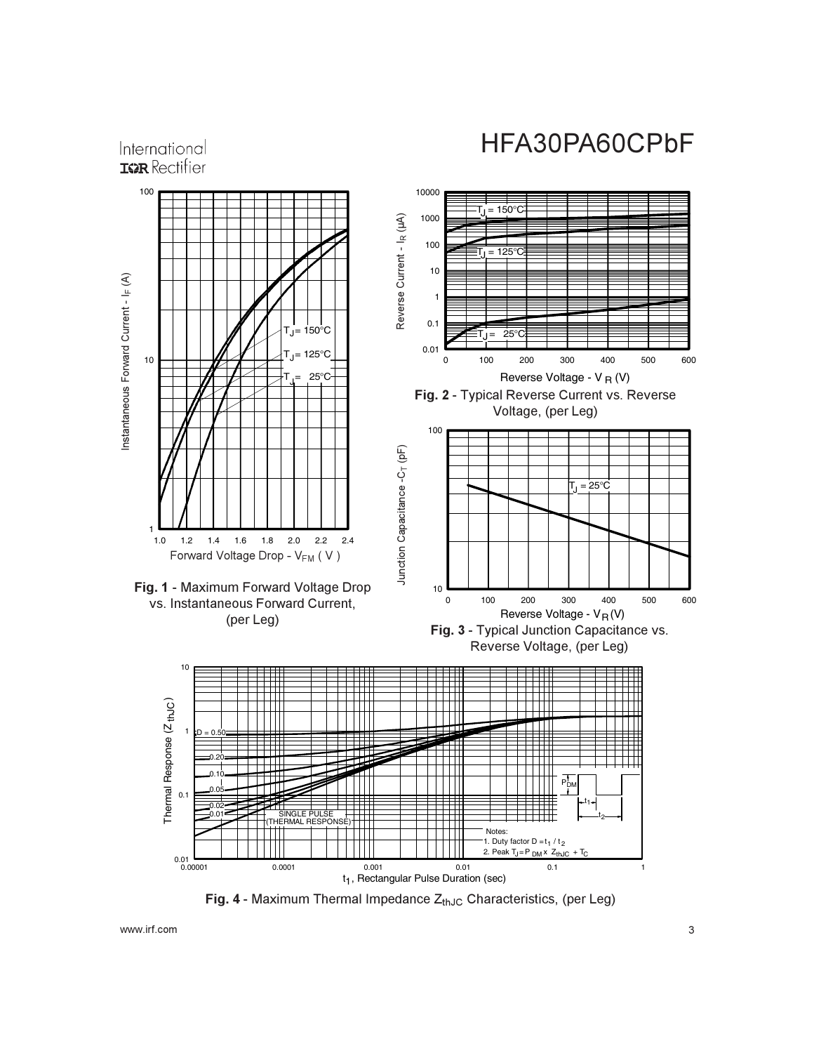International **IGR** Rectifier



**Fig. 4 -** Maximum Thermal Impedance  $Z_{thJC}$  Characteristics, (per Leg)

www.irf.com  $\sim$  3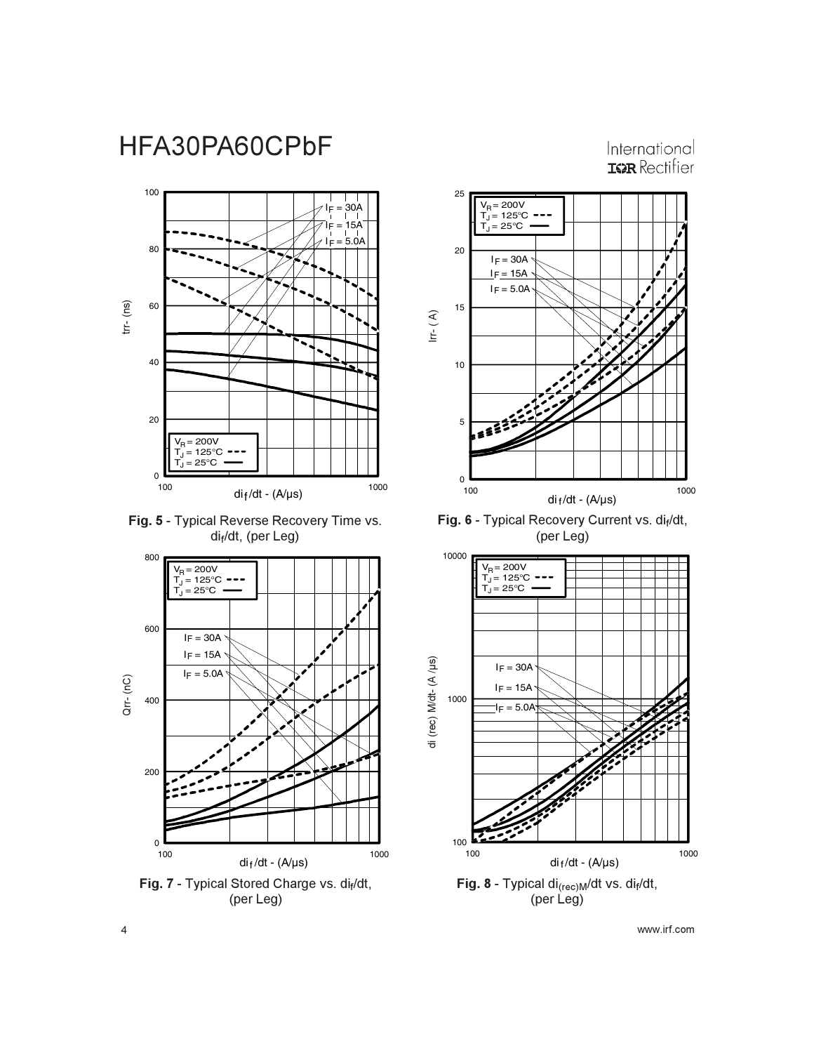International **IGR** Rectifier



Fig. 5 - Typical Reverse Recovery Time vs. di<sub>f</sub>/dt, (per Leg)



**Fig. 7 - Typical Stored Charge vs. dif/dt,** (per Leg)



**Fig. 6 -** Typical Recovery Current vs. di<sub>f</sub>/dt, (per Leg)



24 September 2016 and the set of the set of the set of the set of the set of the set of the set of the set of the set of the set of the set of the set of the set of the set of the set of the set of the set of the set of th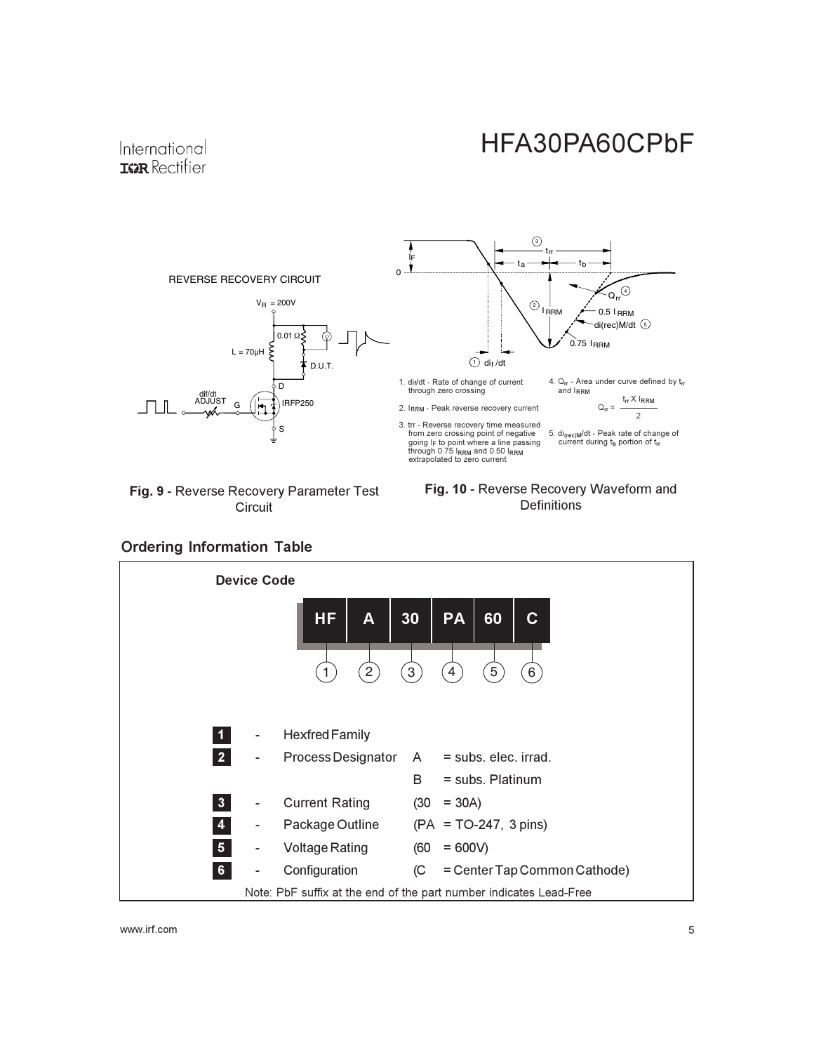

Fig. 9 - Reverse Recovery Parameter Test Circuit





#### **Ordering Information Table**